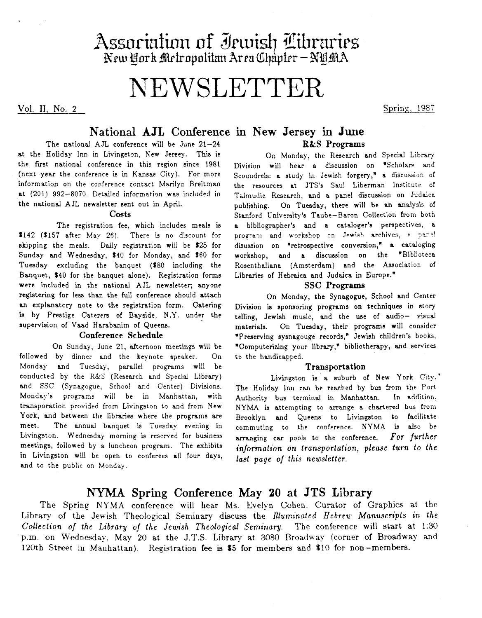# Assoriation of Jewish Libraries<br>New York Metropolitan Area Chapter – NYMA

# NEWSLETTER

**VOl. 11,** *xo.* **2** 

Spring, 1987

# **National AJL Conference in New Jersey in June**

The national AJL conference will be June **21-24**  at the Holiday Inn in Livingston, New Jersey. This is the first national conference in this region since 1981 (next year the conference is in Kansas City). For more information on the conference contact Marilyn Breitman at (201) 992-8070. Detailed information was included in the national AJL newsletter sent out in April.

#### **Costs**

The registration fee, which includes meals ia \$142 (\$157 after May 26). There is no discount for skipping the meals. Daily registration will be *\$25* for Sunday and Wednesday, \$40 for Monday, and **\$60** for Tuesday excluding the banquet **(S80** including the Banquet, **\$40** for the banquet alone). Registration forms were included in the national AJL newsletter, anyone registering for less than the full conference should attach **an** explanatory note to the registration form. Catering is by Prestige Caterers of Bayside, **N.Y.** under the supervision of Vaad Harabanim of Queens.

#### **Conference Schedule**

On Sunday, June 21, afternoon meetings will be followed by dinner and the keynote speaker. On Monday and Tuesday, parallel programs will be conducted by the *R&S* (Research and Special Library) and SSC (Synagogue, School and Center) Divisions. Monday's programs will be in Manhattan, with transporation provided from Livingston to and from New **York,** and between the libraries where the programs are meet. The annual banquet is Tuesday evening in Livingston. Wednesday morning is reserved for business meetings, followed by a luncheon program. The exhibits in Livingston will be open to conferees all four days, and to the public on Monday.

# **R&S Programs**

On Monday, the Research and Special Library Division will hear a discussion on "Scholars and Scoundrels: a study in Jewish forgery," a discussion of the resources at JTS's Saul Liberman Institute of Talmudic Research, and a panel discussion on Judaica publishing. On Tuesday, there will be **an** analysis of Stanford University'e Taube-Baron Collection from both **a** bibliographer's and a cataloger's perspectives, a program and workshop on Jewish archives, a panel diaussion on "retrospective conversion," **a** cataloging workshop, and a discussion on the "Biblioteca Rosenthaliana (Amsterdam) and the Association of Libraries of Hebraica and Judaica in Europe."

#### **SSC Programs**

On Monday, the Synagogue, School and Center Division is sponsoring programs on techniques in story telling, Jewish music, and the use of audio- visual materials. On Tuesday, their programs will consider "Preserving sysnagouge records," Jewish children's books, "Computerizing your library," bibliotherapy, and services to the handicapped.

#### **Transportation**

Livingston is a suburb of New **York** City.' The Holiday Inn can be reached by bus from the Port<br>Authority bus terminal in Manhattan. In addition. Authority bus terminal in Manhattan. NYMA is attempting to arrange a chartered bus from Brooklyn and Queens to Livingston to facilitate commuting to the conference. **KYMA is** also be arranging **CBP** pools to the conference. *For furfher*  injormation on transportation, *please* **turn** *to the*  last page of this newsletter.

# NYMA **Spring Conference** May **20 at JTS Library**

The Spring NYMA conference will hear Ms. Evelvn Cohen, Curator of Graphics at the Library of the Jewish Theological Seminary discuss the *Illuminated Hebrew Manuscripts* in the *Collection* of *the* Libray of *the Jewish Theological Seminary.* The conference **will** start at 1:30 **p.m.** on Wednesday, May **20** at the J.T.S. **Library** at 3080 Broadway (corner of Broadway and **120th** Street in Manhattan). Registration **fee** is **85** for members and \$10 for non-members.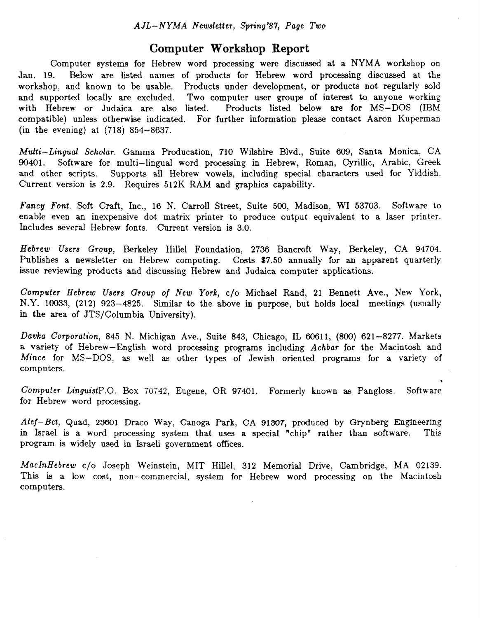### **Computer Workshop Report**

Computer systems for Hebrew word processing were discussed at a NYMA workshop on **Jan. 19.** Below are listed **names** of products for Hebrew word processing discussed at the workshop, and known to be usable. Products under development, or products not regularly sold and supported locally are excluded. Two computer user groups of interest to anyone working<br>with Hebrew or Judaica are also listed. Products listed below are for MS-DOS (IBM with Hebrew or Judajca **are also** listed. Products listed below are for MS-DOS **(IBM**  compatible) unless otherwise indicated. For further information please contact Aaron Kuperman (in the evening) at (718) **854-8637.** 

*Multi-Lingual* Scholar. Gamma Producation, **710** Wilshire Blvd., Suite **609,** Santa Monica, **CA 90401.** Software for multi-lingual word processing in Hebrew, Roman, Cyrillic, Arabic, **Greek**  and other scripts. Supports **all** Hebrew vowels, including special characters used for Yiddish. Current version is 2.9. Requires 512K RAM and graphics capability.

**Fancy** *Font.* Soft Craft, Inc., **16** N. Carroll Street, Suite 500, Madison, **WI 53703.** Software to enable even **an** inexpensive dot matrix printer to produce output equivalent to a laser printer. Includes several Hebrew fonts. Current version is 3.0.

*Hebrew Users Group,* Berkeley Hillel Foundation, **2736** Bancroft Way, Berkeley, CA **94704.**  Publishes a newsletter on Hebrew computing. Costs **\$7.50** annually for **an** apparent quarterly issue reviewing products and discussing Hebrew and Judaica computer applications.

*Computer Hebrew Users Group* of *New York,* c/o Michael Rand, **21** Bennett Ave., New York, N.Y. 10033, (212) 923–4825. Similar to the above in purpose, but holds local meetings (usually **in** the area of JTS/Columbia University).

Dada *Corporation,* **845 N.** Michigan Ave., Suite **843,** Chicago, **II, 60611, (800) 621-8277.** Markets a variety of Hebrew-English word processing programs including **Achbar** for the Macintosh and *Mince* for MS-DOS, **as** well **as** other types of Jewish oriented programs for a variety of computers.

*Computer LinguistP.0.* Box **76742,** Eugene, OR **97401.**  Formerly known **as** Pangloss. Software for Hebrew word processing.

*0* 

*Afej-Bet,* Quad, **25601** Draco Way, Canoga Park, **CA 91507,** produced by Grynberg Englneerlng in Israel is a word processing system that uses a special "chip" rather than software. program is widely used in Israeli government offices.

*MacInRebrew* c/o Joseph Weinstein, MIT Hillel, **312** Memorial Drive, Cambridge, **MA 02139.**  This **is** a low cost, non-commerciaI, system for Hebrew word processing on the Macintosh computers.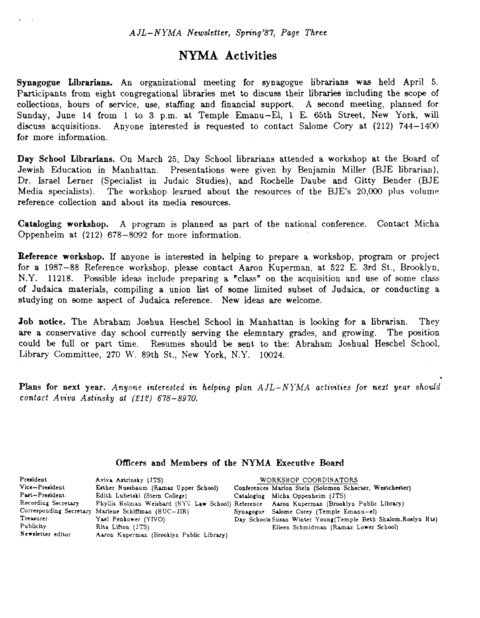## NYMA **Activities**

**Synagogue Librarians. An** organizational meeting for synagogue librarians was held April *5.*  Participants from eight congregational libraries met to discuss their libraries including the scope of collections, hours of service, use, staffing and financid support. **A** second meeting, planned for Sunday, June 14 from 1 to 3 p.m. at Temple Emanu-El, 1 E. 65th Street, New York, will discuss acquisitions. Anyone interested is requested to contact Salome Cory at (212) 744-1400 Anyone interested is requested to contact Salome Cory at (212) 744-1400 for more information.

**Day School Librarians.** On March **25,** Day School librarians attended a workshop at the Board of Jewish Education in Manhattan. Presentations were given by Benjamin Miller (BJE librarian), Dr. Israel Lerner (Specialist in Judaic Studies), and Rochelle Daube and Gitty Bender (BJE Media specialists). The workshop learned about the resources of the BJE's **20,OOO** plus volume reference collection and about its media resources.

**Cataloging workshop.**  A program is planned **as** part of the national conference. Contact Micha Oppenheim at **(212) 678-8092** for more information.

**Reference workshop.** If anyone is interested **in** helping to prepare a workshop, program or project for a **1987-88** Reference workshop, please contact Aaron Kuperman, at **522** E. 3rd St., Brooklyn, N.Y. 11218. Possible ideas include preparing a "class" on the acquisition and use of some class of Judaica materials, compiling a union list of some limited subset of Judaica, or conducting a studying on mme aspect of Judaica reference. New ideas are welcome.

Job notice. The Abraham Joshua Heschel School in Manhattan is looking for a librarian. They are a conservative day school currently **serving** the elemntary *grades,* and **growing.**  The position could be full or part time. Resumes should be sent to the: Abraham Joshua1 Heschel School, Library Committee, 270 W. 89th St., New York, N.Y. 10024.

Plans for next year. Anyone interested in helping plan  $A J L - N Y M A$  activities for next year should contact Avioa **Astinsky** af *(212) 678-8970.* 

\*

#### **Officers and Members of the NYMA Executive Board**

| President           | Aviva Astrinsky (JTS)                               | WORKSHOP COORDINATORS                                                                       |
|---------------------|-----------------------------------------------------|---------------------------------------------------------------------------------------------|
| Vice-President      | Esther Nussbaum (Ramaz Upper School)                | Conferences Marion Stein (Solomon Schecter, Westchester)                                    |
| Past-President      | Edith Lubetski (Stern College)                      | Cataloging Micha Oppenheim (JTS)                                                            |
| Recording Secretary |                                                     | Phyllis Holman Weisbard (NYU Law School) Reference Aaron Kuperman (Brooklyn Public Library) |
|                     | Corresponding Secretary Marlene Schiffman (HUC-JIR) | Synagogue Salome Corey (Temple Emanu-el)                                                    |
| Treasurer           | Yael Penkower (YIVO)                                | Day Schools Susan Winter Young (Temple Beth Shalom, Roslyn Hts)                             |
| Publicity           | Rita Lifton (JTS)                                   | Eileen Schmidman (Ramaz Lower School)                                                       |
| Newsletter editor   | Aaron Kuperman (Brooklyn Public Library)            |                                                                                             |